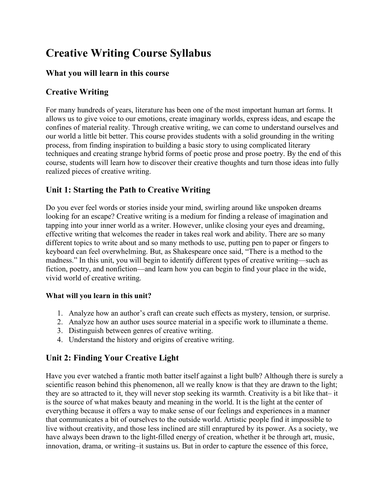# **Creative Writing Course Syllabus**

## **What you will learn in this course**

# **Creative Writing**

For many hundreds of years, literature has been one of the most important human art forms. It allows us to give voice to our emotions, create imaginary worlds, express ideas, and escape the confines of material reality. Through creative writing, we can come to understand ourselves and our world a little bit better. This course provides students with a solid grounding in the writing process, from finding inspiration to building a basic story to using complicated literary techniques and creating strange hybrid forms of poetic prose and prose poetry. By the end of this course, students will learn how to discover their creative thoughts and turn those ideas into fully realized pieces of creative writing.

# **Unit 1: Starting the Path to Creative Writing**

Do you ever feel words or stories inside your mind, swirling around like unspoken dreams looking for an escape? Creative writing is a medium for finding a release of imagination and tapping into your inner world as a writer. However, unlike closing your eyes and dreaming, effective writing that welcomes the reader in takes real work and ability. There are so many different topics to write about and so many methods to use, putting pen to paper or fingers to keyboard can feel overwhelming. But, as Shakespeare once said, "There is a method to the madness." In this unit, you will begin to identify different types of creative writing—such as fiction, poetry, and nonfiction—and learn how you can begin to find your place in the wide, vivid world of creative writing.

### **What will you learn in this unit?**

- 1. Analyze how an author's craft can create such effects as mystery, tension, or surprise.
- 2. Analyze how an author uses source material in a specific work to illuminate a theme.
- 3. Distinguish between genres of creative writing.
- 4. Understand the history and origins of creative writing.

# **Unit 2: Finding Your Creative Light**

Have you ever watched a frantic moth batter itself against a light bulb? Although there is surely a scientific reason behind this phenomenon, all we really know is that they are drawn to the light; they are so attracted to it, they will never stop seeking its warmth. Creativity is a bit like that– it is the source of what makes beauty and meaning in the world. It is the light at the center of everything because it offers a way to make sense of our feelings and experiences in a manner that communicates a bit of ourselves to the outside world. Artistic people find it impossible to live without creativity, and those less inclined are still enraptured by its power. As a society, we have always been drawn to the light-filled energy of creation, whether it be through art, music, innovation, drama, or writing–it sustains us. But in order to capture the essence of this force,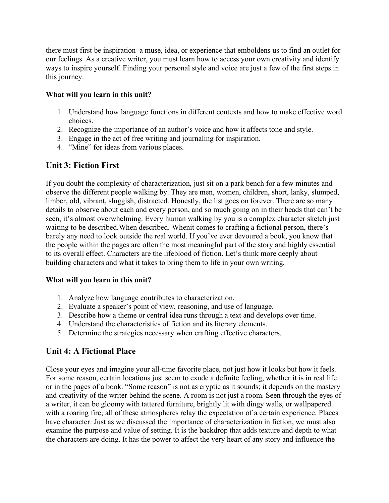there must first be inspiration–a muse, idea, or experience that emboldens us to find an outlet for our feelings. As a creative writer, you must learn how to access your own creativity and identify ways to inspire yourself. Finding your personal style and voice are just a few of the first steps in this journey.

#### **What will you learn in this unit?**

- 1. Understand how language functions in different contexts and how to make effective word choices.
- 2. Recognize the importance of an author's voice and how it affects tone and style.
- 3. Engage in the act of free writing and journaling for inspiration.
- 4. "Mine" for ideas from various places.

## **Unit 3: Fiction First**

If you doubt the complexity of characterization, just sit on a park bench for a few minutes and observe the different people walking by. They are men, women, children, short, lanky, slumped, limber, old, vibrant, sluggish, distracted. Honestly, the list goes on forever. There are so many details to observe about each and every person, and so much going on in their heads that can't be seen, it's almost overwhelming. Every human walking by you is a complex character sketch just waiting to be described.When described. Whenit comes to crafting a fictional person, there's barely any need to look outside the real world. If you've ever devoured a book, you know that the people within the pages are often the most meaningful part of the story and highly essential to its overall effect. Characters are the lifeblood of fiction. Let's think more deeply about building characters and what it takes to bring them to life in your own writing.

#### **What will you learn in this unit?**

- 1. Analyze how language contributes to characterization.
- 2. Evaluate a speaker's point of view, reasoning, and use of language.
- 3. Describe how a theme or central idea runs through a text and develops over time.
- 4. Understand the characteristics of fiction and its literary elements.
- 5. Determine the strategies necessary when crafting effective characters.

### **Unit 4: A Fictional Place**

Close your eyes and imagine your all-time favorite place, not just how it looks but how it feels. For some reason, certain locations just seem to exude a definite feeling, whether it is in real life or in the pages of a book. "Some reason" is not as cryptic as it sounds; it depends on the mastery and creativity of the writer behind the scene. A room is not just a room. Seen through the eyes of a writer, it can be gloomy with tattered furniture, brightly lit with dingy walls, or wallpapered with a roaring fire; all of these atmospheres relay the expectation of a certain experience. Places have character. Just as we discussed the importance of characterization in fiction, we must also examine the purpose and value of setting. It is the backdrop that adds texture and depth to what the characters are doing. It has the power to affect the very heart of any story and influence the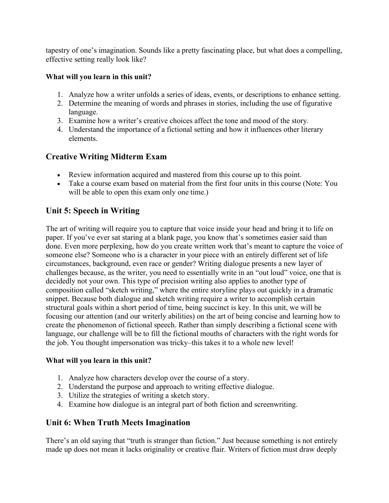tapestry of one's imagination. Sounds like a pretty fascinating place, but what does a compelling, effective setting really look like?

#### **What will you learn in this unit?**

- 1. Analyze how a writer unfolds a series of ideas, events, or descriptions to enhance setting.
- 2. Determine the meaning of words and phrases in stories, including the use of figurative language.
- 3. Examine how a writer's creative choices affect the tone and mood of the story.
- 4. Understand the importance of a fictional setting and how it influences other literary elements.

## **Creative Writing Midterm Exam**

- Review information acquired and mastered from this course up to this point.
- Take a course exam based on material from the first four units in this course (Note: You will be able to open this exam only one time.)

## **Unit 5: Speech in Writing**

The art of writing will require you to capture that voice inside your head and bring it to life on paper. If you've ever sat staring at a blank page, you know that's sometimes easier said than done. Even more perplexing, how do you create written work that's meant to capture the voice of someone else? Someone who is a character in your piece with an entirely different set of life circumstances, background, even race or gender? Writing dialogue presents a new layer of challenges because, as the writer, you need to essentially write in an "out loud" voice, one that is decidedly not your own. This type of precision writing also applies to another type of composition called "sketch writing," where the entire storyline plays out quickly in a dramatic snippet. Because both dialogue and sketch writing require a writer to accomplish certain structural goals within a short period of time, being succinct is key. In this unit, we will be focusing our attention (and our writerly abilities) on the art of being concise and learning how to create the phenomenon of fictional speech. Rather than simply describing a fictional scene with language, our challenge will be to fill the fictional mouths of characters with the right words for the job. You thought impersonation was tricky–this takes it to a whole new level!

#### **What will you learn in this unit?**

- 1. Analyze how characters develop over the course of a story.
- 2. Understand the purpose and approach to writing effective dialogue.
- 3. Utilize the strategies of writing a sketch story.
- 4. Examine how dialogue is an integral part of both fiction and screenwriting.

## **Unit 6: When Truth Meets Imagination**

There's an old saying that "truth is stranger than fiction." Just because something is not entirely made up does not mean it lacks originality or creative flair. Writers of fiction must draw deeply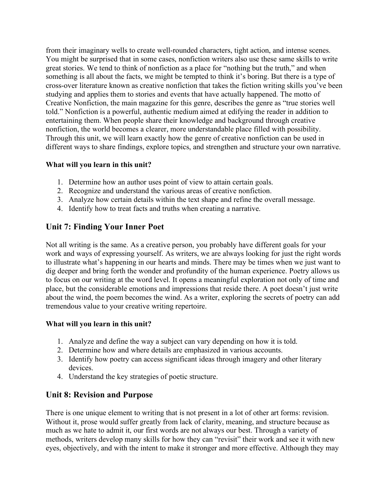from their imaginary wells to create well-rounded characters, tight action, and intense scenes. You might be surprised that in some cases, nonfiction writers also use these same skills to write great stories. We tend to think of nonfiction as a place for "nothing but the truth," and when something is all about the facts, we might be tempted to think it's boring. But there is a type of cross-over literature known as creative nonfiction that takes the fiction writing skills you've been studying and applies them to stories and events that have actually happened. The motto of Creative Nonfiction, the main magazine for this genre, describes the genre as "true stories well told." Nonfiction is a powerful, authentic medium aimed at edifying the reader in addition to entertaining them. When people share their knowledge and background through creative nonfiction, the world becomes a clearer, more understandable place filled with possibility. Through this unit, we will learn exactly how the genre of creative nonfiction can be used in different ways to share findings, explore topics, and strengthen and structure your own narrative.

#### **What will you learn in this unit?**

- 1. Determine how an author uses point of view to attain certain goals.
- 2. Recognize and understand the various areas of creative nonfiction.
- 3. Analyze how certain details within the text shape and refine the overall message.
- 4. Identify how to treat facts and truths when creating a narrative.

## **Unit 7: Finding Your Inner Poet**

Not all writing is the same. As a creative person, you probably have different goals for your work and ways of expressing yourself. As writers, we are always looking for just the right words to illustrate what's happening in our hearts and minds. There may be times when we just want to dig deeper and bring forth the wonder and profundity of the human experience. Poetry allows us to focus on our writing at the word level. It opens a meaningful exploration not only of time and place, but the considerable emotions and impressions that reside there. A poet doesn't just write about the wind, the poem becomes the wind. As a writer, exploring the secrets of poetry can add tremendous value to your creative writing repertoire.

#### **What will you learn in this unit?**

- 1. Analyze and define the way a subject can vary depending on how it is told.
- 2. Determine how and where details are emphasized in various accounts.
- 3. Identify how poetry can access significant ideas through imagery and other literary devices.
- 4. Understand the key strategies of poetic structure.

## **Unit 8: Revision and Purpose**

There is one unique element to writing that is not present in a lot of other art forms: revision. Without it, prose would suffer greatly from lack of clarity, meaning, and structure because as much as we hate to admit it, our first words are not always our best. Through a variety of methods, writers develop many skills for how they can "revisit" their work and see it with new eyes, objectively, and with the intent to make it stronger and more effective. Although they may